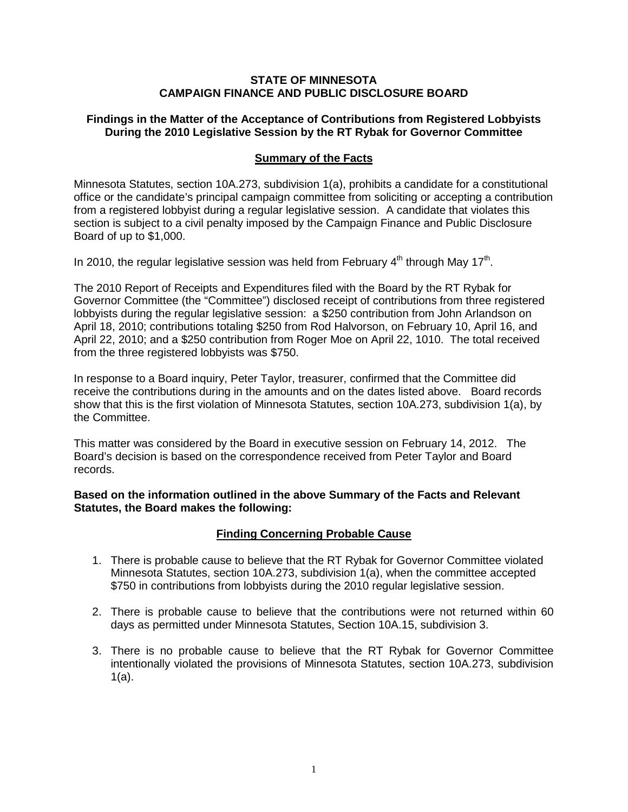#### **STATE OF MINNESOTA CAMPAIGN FINANCE AND PUBLIC DISCLOSURE BOARD**

## **Findings in the Matter of the Acceptance of Contributions from Registered Lobbyists During the 2010 Legislative Session by the RT Rybak for Governor Committee**

## **Summary of the Facts**

Minnesota Statutes, section 10A.273, subdivision 1(a), prohibits a candidate for a constitutional office or the candidate's principal campaign committee from soliciting or accepting a contribution from a registered lobbyist during a regular legislative session. A candidate that violates this section is subject to a civil penalty imposed by the Campaign Finance and Public Disclosure Board of up to \$1,000.

In 2010, the regular legislative session was held from February  $4<sup>th</sup>$  through May 17<sup>th</sup>.

The 2010 Report of Receipts and Expenditures filed with the Board by the RT Rybak for Governor Committee (the "Committee") disclosed receipt of contributions from three registered lobbyists during the regular legislative session: a \$250 contribution from John Arlandson on April 18, 2010; contributions totaling \$250 from Rod Halvorson, on February 10, April 16, and April 22, 2010; and a \$250 contribution from Roger Moe on April 22, 1010. The total received from the three registered lobbyists was \$750.

In response to a Board inquiry, Peter Taylor, treasurer, confirmed that the Committee did receive the contributions during in the amounts and on the dates listed above. Board records show that this is the first violation of Minnesota Statutes, section 10A.273, subdivision 1(a), by the Committee.

This matter was considered by the Board in executive session on February 14, 2012. The Board's decision is based on the correspondence received from Peter Taylor and Board records.

**Based on the information outlined in the above Summary of the Facts and Relevant Statutes, the Board makes the following:**

## **Finding Concerning Probable Cause**

- 1. There is probable cause to believe that the RT Rybak for Governor Committee violated Minnesota Statutes, section 10A.273, subdivision 1(a), when the committee accepted \$750 in contributions from lobbyists during the 2010 regular legislative session.
- 2. There is probable cause to believe that the contributions were not returned within 60 days as permitted under Minnesota Statutes, Section 10A.15, subdivision 3.
- 3. There is no probable cause to believe that the RT Rybak for Governor Committee intentionally violated the provisions of Minnesota Statutes, section 10A.273, subdivision 1(a).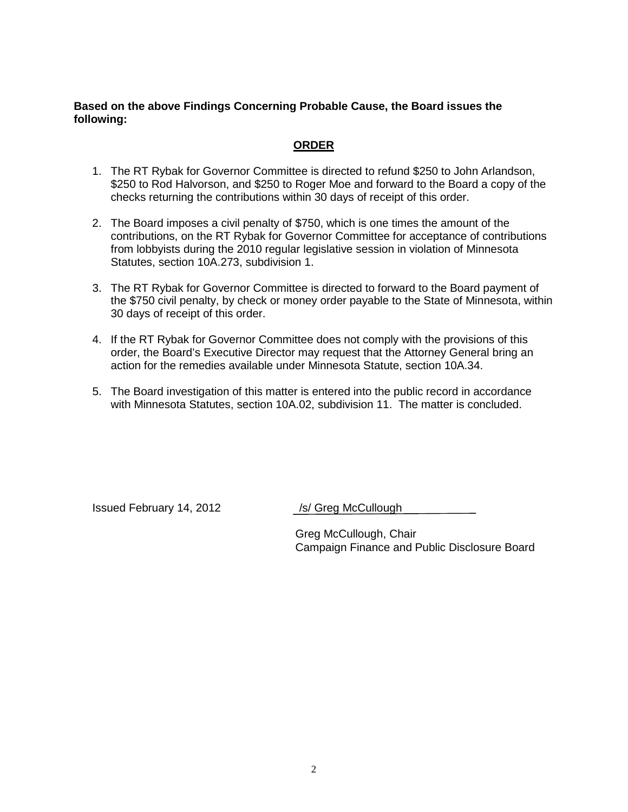#### **Based on the above Findings Concerning Probable Cause, the Board issues the following:**

# **ORDER**

- 1. The RT Rybak for Governor Committee is directed to refund \$250 to John Arlandson, \$250 to Rod Halvorson, and \$250 to Roger Moe and forward to the Board a copy of the checks returning the contributions within 30 days of receipt of this order.
- 2. The Board imposes a civil penalty of \$750, which is one times the amount of the contributions, on the RT Rybak for Governor Committee for acceptance of contributions from lobbyists during the 2010 regular legislative session in violation of Minnesota Statutes, section 10A.273, subdivision 1.
- 3. The RT Rybak for Governor Committee is directed to forward to the Board payment of the \$750 civil penalty, by check or money order payable to the State of Minnesota, within 30 days of receipt of this order.
- 4. If the RT Rybak for Governor Committee does not comply with the provisions of this order, the Board's Executive Director may request that the Attorney General bring an action for the remedies available under Minnesota Statute, section 10A.34.
- 5. The Board investigation of this matter is entered into the public record in accordance with Minnesota Statutes, section 10A.02, subdivision 11. The matter is concluded.

Issued February 14, 2012 /s/ Greg McCullough

Greg McCullough, Chair Campaign Finance and Public Disclosure Board